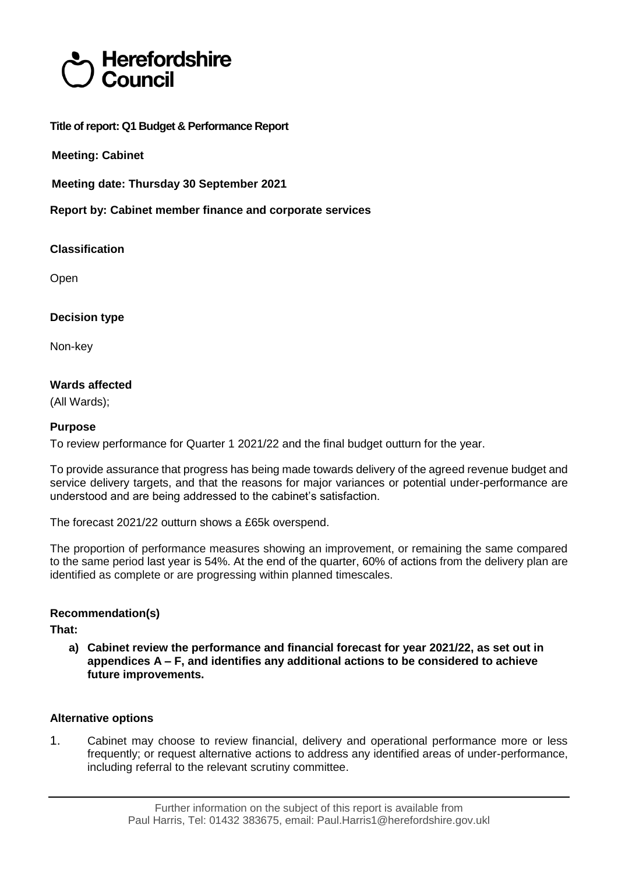# Herefordshire Council

**Title of report: Q1 Budget & Performance Report**

**Meeting: Cabinet**

**Meeting date: Thursday 30 September 2021**

**Report by: Cabinet member finance and corporate services**

**Classification**

Open

# **Decision type**

Non-key

# **Wards affected**

(All Wards);

# **Purpose**

To review performance for Quarter 1 2021/22 and the final budget outturn for the year.

To provide assurance that progress has being made towards delivery of the agreed revenue budget and service delivery targets, and that the reasons for major variances or potential under-performance are understood and are being addressed to the cabinet's satisfaction.

The forecast 2021/22 outturn shows a £65k overspend.

The proportion of performance measures showing an improvement, or remaining the same compared to the same period last year is 54%. At the end of the quarter, 60% of actions from the delivery plan are identified as complete or are progressing within planned timescales.

# **Recommendation(s)**

**That:**

**a) Cabinet review the performance and financial forecast for year 2021/22, as set out in appendices A – F, and identifies any additional actions to be considered to achieve future improvements.**

# **Alternative options**

1. Cabinet may choose to review financial, delivery and operational performance more or less frequently; or request alternative actions to address any identified areas of under-performance, including referral to the relevant scrutiny committee.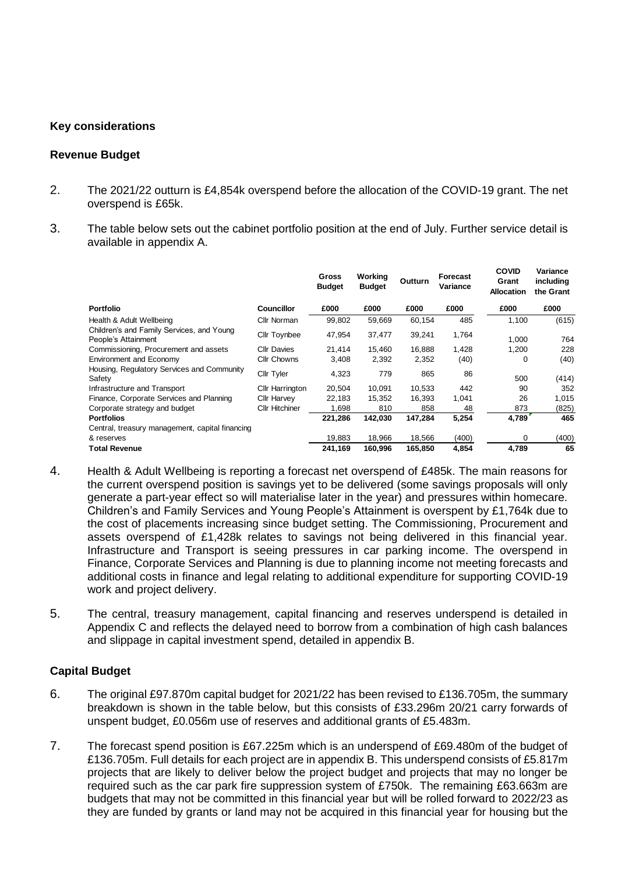#### **Key considerations**

#### **Revenue Budget**

- 2. The 2021/22 outturn is £4,854k overspend before the allocation of the COVID-19 grant. The net overspend is £65k.
- 3. The table below sets out the cabinet portfolio position at the end of July. Further service detail is available in appendix A.

|                                                                  |                        | Gross<br><b>Budget</b> | Working<br><b>Budget</b> | Outturn | Forecast<br>Variance | <b>COVID</b><br>Grant<br><b>Allocation</b> | Variance<br>including<br>the Grant |
|------------------------------------------------------------------|------------------------|------------------------|--------------------------|---------|----------------------|--------------------------------------------|------------------------------------|
| <b>Portfolio</b>                                                 | <b>Councillor</b>      | £000                   | £000                     | £000    | £000                 | £000                                       | £000                               |
| Health & Adult Wellbeing                                         | Cllr Norman            | 99,802                 | 59,669                   | 60,154  | 485                  | 1,100                                      | (615)                              |
| Children's and Family Services, and Young<br>People's Attainment | <b>Cllr Toynbee</b>    | 47,954                 | 37,477                   | 39,241  | 1,764                | 1.000                                      | 764                                |
| Commissioning, Procurement and assets                            | <b>Cllr Davies</b>     | 21.414                 | 15,460                   | 16,888  | 1,428                | 1,200                                      | 228                                |
| <b>Environment and Economy</b>                                   | <b>Cllr Chowns</b>     | 3,408                  | 2,392                    | 2,352   | (40)                 | 0                                          | (40)                               |
| Housing, Regulatory Services and Community<br>Safety             | Cllr Tyler             | 4,323                  | 779                      | 865     | 86                   | 500                                        | (414)                              |
| Infrastructure and Transport                                     | <b>Cllr Harrington</b> | 20,504                 | 10,091                   | 10,533  | 442                  | 90                                         | 352                                |
| Finance, Corporate Services and Planning                         | <b>Cllr Harvev</b>     | 22.183                 | 15,352                   | 16,393  | 1,041                | 26                                         | 1,015                              |
| Corporate strategy and budget                                    | <b>Cllr Hitchiner</b>  | 1,698                  | 810                      | 858     | 48                   | 873                                        | (825)                              |
| <b>Portfolios</b>                                                |                        | 221,286                | 142,030                  | 147,284 | 5,254                | 4,789                                      | 465                                |
| Central, treasury management, capital financing                  |                        |                        |                          |         |                      |                                            |                                    |
| & reserves                                                       |                        | 19,883                 | 18,966                   | 18,566  | (400)                | O                                          | (400)                              |
| <b>Total Revenue</b>                                             |                        | 241,169                | 160,996                  | 165,850 | 4,854                | 4,789                                      | 65                                 |

- 4. Health & Adult Wellbeing is reporting a forecast net overspend of £485k. The main reasons for the current overspend position is savings yet to be delivered (some savings proposals will only generate a part-year effect so will materialise later in the year) and pressures within homecare. Children's and Family Services and Young People's Attainment is overspent by £1,764k due to the cost of placements increasing since budget setting. The Commissioning, Procurement and assets overspend of £1,428k relates to savings not being delivered in this financial year. Infrastructure and Transport is seeing pressures in car parking income. The overspend in Finance, Corporate Services and Planning is due to planning income not meeting forecasts and additional costs in finance and legal relating to additional expenditure for supporting COVID-19 work and project delivery.
- 5. The central, treasury management, capital financing and reserves underspend is detailed in Appendix C and reflects the delayed need to borrow from a combination of high cash balances and slippage in capital investment spend, detailed in appendix B.

#### **Capital Budget**

- 6. The original £97.870m capital budget for 2021/22 has been revised to £136.705m, the summary breakdown is shown in the table below, but this consists of £33.296m 20/21 carry forwards of unspent budget, £0.056m use of reserves and additional grants of £5.483m.
- 7. The forecast spend position is £67.225m which is an underspend of £69.480m of the budget of £136.705m. Full details for each project are in appendix B. This underspend consists of £5.817m projects that are likely to deliver below the project budget and projects that may no longer be required such as the car park fire suppression system of £750k. The remaining £63.663m are budgets that may not be committed in this financial year but will be rolled forward to 2022/23 as they are funded by grants or land may not be acquired in this financial year for housing but the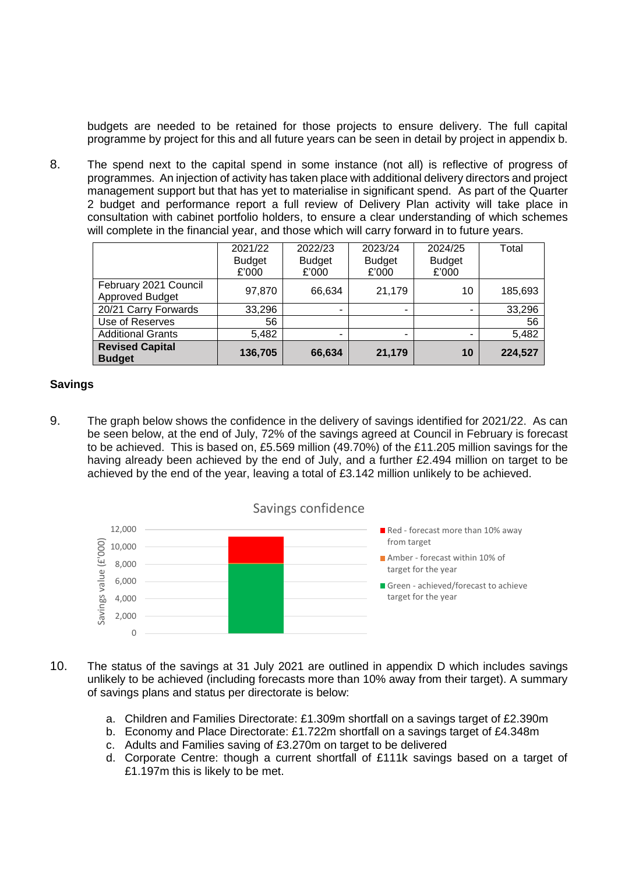budgets are needed to be retained for those projects to ensure delivery. The full capital programme by project for this and all future years can be seen in detail by project in appendix b.

8. The spend next to the capital spend in some instance (not all) is reflective of progress of programmes. An injection of activity has taken place with additional delivery directors and project management support but that has yet to materialise in significant spend. As part of the Quarter 2 budget and performance report a full review of Delivery Plan activity will take place in consultation with cabinet portfolio holders, to ensure a clear understanding of which schemes will complete in the financial year, and those which will carry forward in to future years.

|                                                 | 2021/22<br><b>Budget</b><br>£'000 | 2022/23<br><b>Budget</b><br>£'000 | 2023/24<br><b>Budget</b><br>£'000 | 2024/25<br><b>Budget</b><br>£'000 | Total   |
|-------------------------------------------------|-----------------------------------|-----------------------------------|-----------------------------------|-----------------------------------|---------|
| February 2021 Council<br><b>Approved Budget</b> | 97,870                            | 66,634                            | 21,179                            | 10                                | 185,693 |
| 20/21 Carry Forwards                            | 33,296                            |                                   | -                                 | ۰                                 | 33,296  |
| Use of Reserves                                 | 56                                |                                   |                                   |                                   | 56      |
| <b>Additional Grants</b>                        | 5,482                             |                                   | -                                 | ۰                                 | 5,482   |
| <b>Revised Capital</b><br><b>Budget</b>         | 136,705                           | 66,634                            | 21,179                            | 10                                | 224,527 |

#### **Savings**

9. The graph below shows the confidence in the delivery of savings identified for 2021/22. As can be seen below, at the end of July, 72% of the savings agreed at Council in February is forecast to be achieved. This is based on, £5.569 million (49.70%) of the £11.205 million savings for the having already been achieved by the end of July, and a further £2.494 million on target to be achieved by the end of the year, leaving a total of £3.142 million unlikely to be achieved.





- 10. The status of the savings at 31 July 2021 are outlined in appendix D which includes savings unlikely to be achieved (including forecasts more than 10% away from their target). A summary of savings plans and status per directorate is below:
	- a. Children and Families Directorate: £1.309m shortfall on a savings target of £2.390m
	- b. Economy and Place Directorate: £1.722m shortfall on a savings target of £4.348m
	- c. Adults and Families saving of £3.270m on target to be delivered
	- d. Corporate Centre: though a current shortfall of £111k savings based on a target of £1.197m this is likely to be met.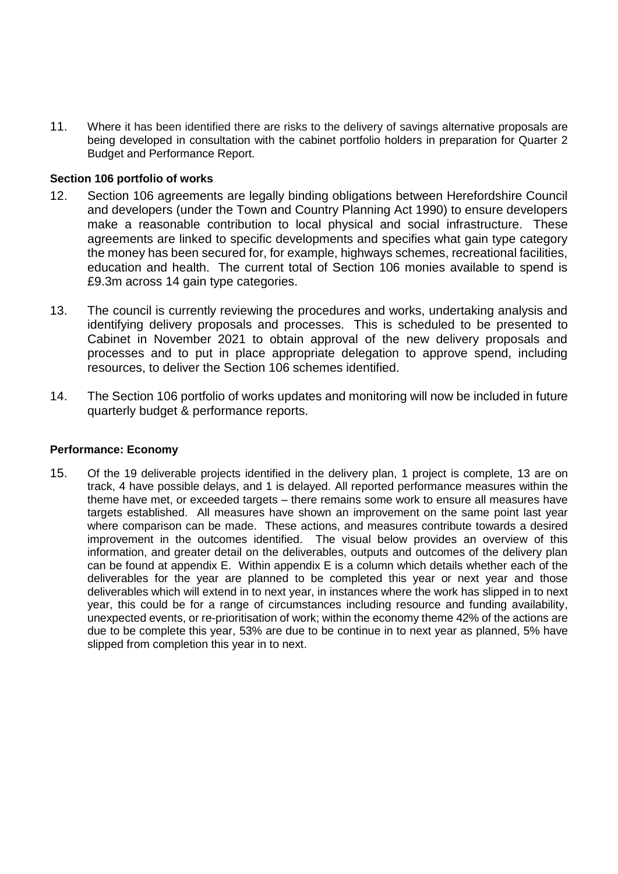11. Where it has been identified there are risks to the delivery of savings alternative proposals are being developed in consultation with the cabinet portfolio holders in preparation for Quarter 2 Budget and Performance Report.

#### **Section 106 portfolio of works**

- 12. Section 106 agreements are legally binding obligations between Herefordshire Council and developers (under the Town and Country Planning Act 1990) to ensure developers make a reasonable contribution to local physical and social infrastructure. These agreements are linked to specific developments and specifies what gain type category the money has been secured for, for example, highways schemes, recreational facilities, education and health. The current total of Section 106 monies available to spend is £9.3m across 14 gain type categories.
- 13. The council is currently reviewing the procedures and works, undertaking analysis and identifying delivery proposals and processes. This is scheduled to be presented to Cabinet in November 2021 to obtain approval of the new delivery proposals and processes and to put in place appropriate delegation to approve spend, including resources, to deliver the Section 106 schemes identified.
- 14. The Section 106 portfolio of works updates and monitoring will now be included in future quarterly budget & performance reports.

#### **Performance: Economy**

15. Of the 19 deliverable projects identified in the delivery plan, 1 project is complete, 13 are on track, 4 have possible delays, and 1 is delayed. All reported performance measures within the theme have met, or exceeded targets – there remains some work to ensure all measures have targets established. All measures have shown an improvement on the same point last year where comparison can be made. These actions, and measures contribute towards a desired improvement in the outcomes identified. The visual below provides an overview of this information, and greater detail on the deliverables, outputs and outcomes of the delivery plan can be found at appendix E. Within appendix E is a column which details whether each of the deliverables for the year are planned to be completed this year or next year and those deliverables which will extend in to next year, in instances where the work has slipped in to next year, this could be for a range of circumstances including resource and funding availability, unexpected events, or re-prioritisation of work; within the economy theme 42% of the actions are due to be complete this year, 53% are due to be continue in to next year as planned, 5% have slipped from completion this year in to next.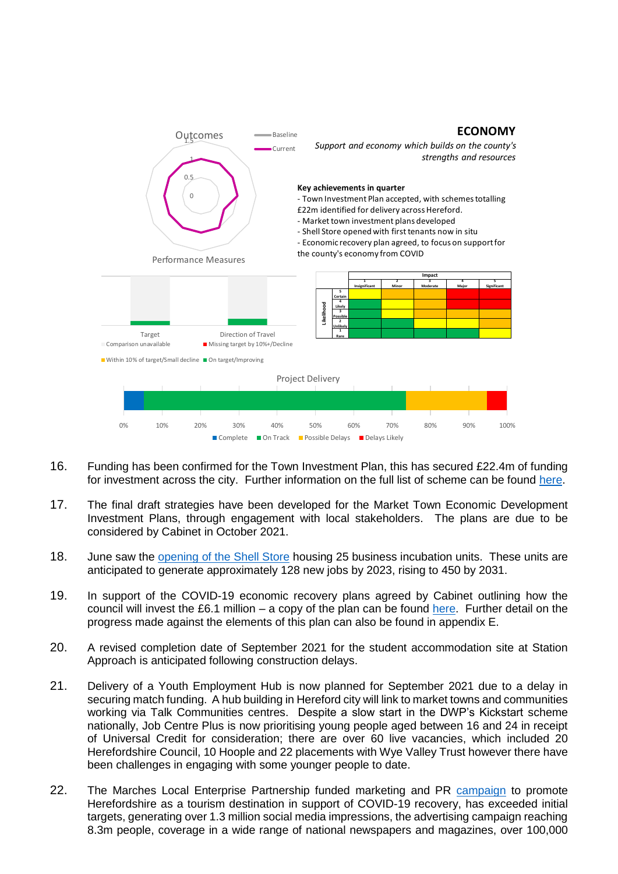

- 16. Funding has been confirmed for the Town Investment Plan, this has secured £22.4m of funding for investment across the city. Further information on the full list of scheme can be found [here.](https://www.herefordshire.gov.uk/business-1/towns-fund)
- 17. The final draft strategies have been developed for the Market Town Economic Development Investment Plans, through engagement with local stakeholders. The plans are due to be considered by Cabinet in October 2021.
- 18. June saw the [opening of the Shell Store](https://www.herefordshire.gov.uk/news/article/1164/revitalised-shell-store-is-open-for-business) housing 25 business incubation units. These units are anticipated to generate approximately 128 new jobs by 2023, rising to 450 by 2031.
- 19. In support of the COVID-19 economic recovery plans agreed by Cabinet outlining how the council will invest the £6.1 million – a copy of the plan can be found [here.](https://councillors.herefordshire.gov.uk/documents/s50090724/Appendix%201%20Covid%2019%20Economic%20Recovery%20Plan.pdf) Further detail on the progress made against the elements of this plan can also be found in appendix E.
- 20. A revised completion date of September 2021 for the student accommodation site at Station Approach is anticipated following construction delays.
- 21. Delivery of a Youth Employment Hub is now planned for September 2021 due to a delay in securing match funding. A hub building in Hereford city will link to market towns and communities working via Talk Communities centres. Despite a slow start in the DWP's Kickstart scheme nationally, Job Centre Plus is now prioritising young people aged between 16 and 24 in receipt of Universal Credit for consideration; there are over 60 live vacancies, which included 20 Herefordshire Council, 10 Hoople and 22 placements with Wye Valley Trust however there have been challenges in engaging with some younger people to date.
- 22. The Marches Local Enterprise Partnership funded marketing and PR [campaign](https://www.visitherefordshire.co.uk/) to promote Herefordshire as a tourism destination in support of COVID-19 recovery, has exceeded initial targets, generating over 1.3 million social media impressions, the advertising campaign reaching 8.3m people, coverage in a wide range of national newspapers and magazines, over 100,000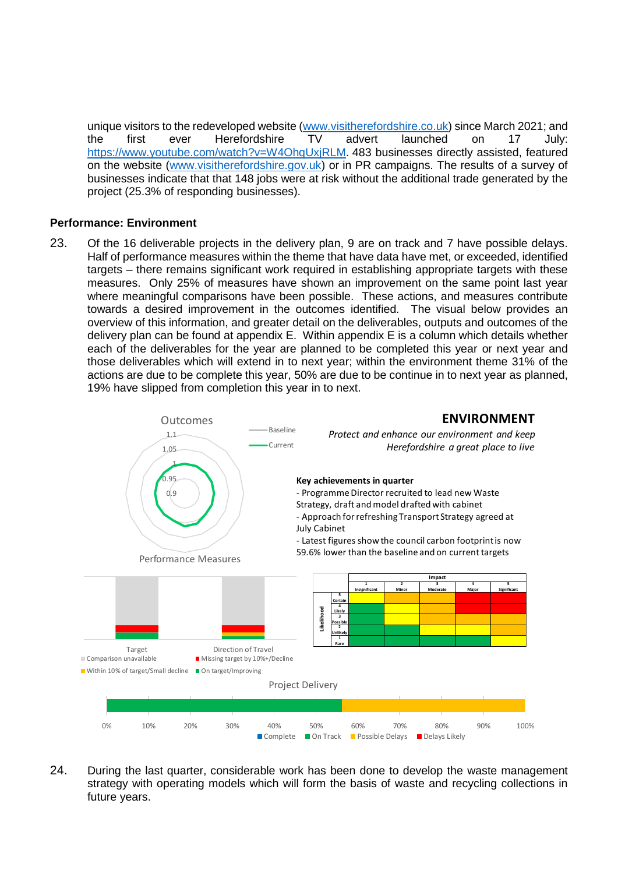unique visitors to the redeveloped website [\(www.visitherefordshire.co.uk\)](http://www.visitherefordshire.co.uk/) since March 2021; and the first ever Herefordshire TV advert launched on 17 July: [https://www.youtube.com/watch?v=W4OhqUxjRLM.](https://www.youtube.com/watch?v=W4OhqUxjRLM) 483 businesses directly assisted, featured on the website [\(www.visitherefordshire.gov.uk\)](http://www.visitherefordshire.gov.uk/) or in PR campaigns. The results of a survey of businesses indicate that that 148 jobs were at risk without the additional trade generated by the project (25.3% of responding businesses).

#### **Performance: Environment**

23. Of the 16 deliverable projects in the delivery plan, 9 are on track and 7 have possible delays. Half of performance measures within the theme that have data have met, or exceeded, identified targets – there remains significant work required in establishing appropriate targets with these measures. Only 25% of measures have shown an improvement on the same point last year where meaningful comparisons have been possible. These actions, and measures contribute towards a desired improvement in the outcomes identified. The visual below provides an overview of this information, and greater detail on the deliverables, outputs and outcomes of the delivery plan can be found at appendix E. Within appendix E is a column which details whether each of the deliverables for the year are planned to be completed this year or next year and those deliverables which will extend in to next year; within the environment theme 31% of the actions are due to be complete this year, 50% are due to be continue in to next year as planned, 19% have slipped from completion this year in to next.



24. During the last quarter, considerable work has been done to develop the waste management strategy with operating models which will form the basis of waste and recycling collections in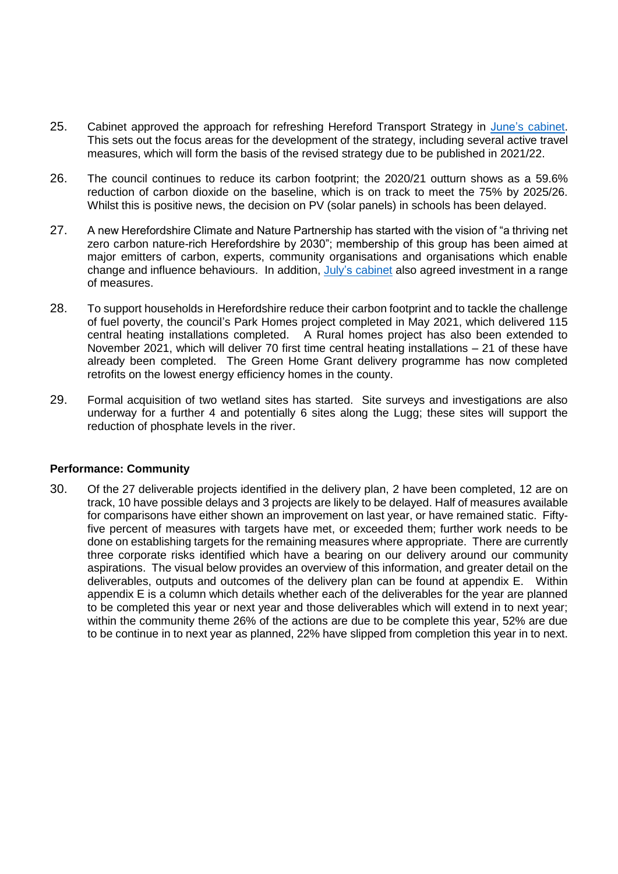- 25. Cabinet approved the approach for refreshing Hereford Transport Strategy in [June's cabinet.](http://councillors.herefordshire.gov.uk/ieListDocuments.aspx?CId=251&MId=8139&Ver=4) This sets out the focus areas for the development of the strategy, including several active travel measures, which will form the basis of the revised strategy due to be published in 2021/22.
- 26. The council continues to reduce its carbon footprint; the 2020/21 outturn shows as a 59.6% reduction of carbon dioxide on the baseline, which is on track to meet the 75% by 2025/26. Whilst this is positive news, the decision on PV (solar panels) in schools has been delayed.
- 27. A new Herefordshire Climate and Nature Partnership has started with the vision of "a thriving net zero carbon nature-rich Herefordshire by 2030"; membership of this group has been aimed at major emitters of carbon, experts, community organisations and organisations which enable change and influence behaviours. In addition, July's [cabinet](http://councillors.herefordshire.gov.uk/ieListDocuments.aspx?CId=251&MId=8333&Ver=4) also agreed investment in a range of measures.
- 28. To support households in Herefordshire reduce their carbon footprint and to tackle the challenge of fuel poverty, the council's Park Homes project completed in May 2021, which delivered 115 central heating installations completed. A Rural homes project has also been extended to November 2021, which will deliver 70 first time central heating installations – 21 of these have already been completed. The Green Home Grant delivery programme has now completed retrofits on the lowest energy efficiency homes in the county.
- 29. Formal acquisition of two wetland sites has started. Site surveys and investigations are also underway for a further 4 and potentially 6 sites along the Lugg; these sites will support the reduction of phosphate levels in the river.

#### **Performance: Community**

30. Of the 27 deliverable projects identified in the delivery plan, 2 have been completed, 12 are on track, 10 have possible delays and 3 projects are likely to be delayed. Half of measures available for comparisons have either shown an improvement on last year, or have remained static. Fiftyfive percent of measures with targets have met, or exceeded them; further work needs to be done on establishing targets for the remaining measures where appropriate. There are currently three corporate risks identified which have a bearing on our delivery around our community aspirations. The visual below provides an overview of this information, and greater detail on the deliverables, outputs and outcomes of the delivery plan can be found at appendix E. Within appendix E is a column which details whether each of the deliverables for the year are planned to be completed this year or next year and those deliverables which will extend in to next year; within the community theme 26% of the actions are due to be complete this year, 52% are due to be continue in to next year as planned, 22% have slipped from completion this year in to next.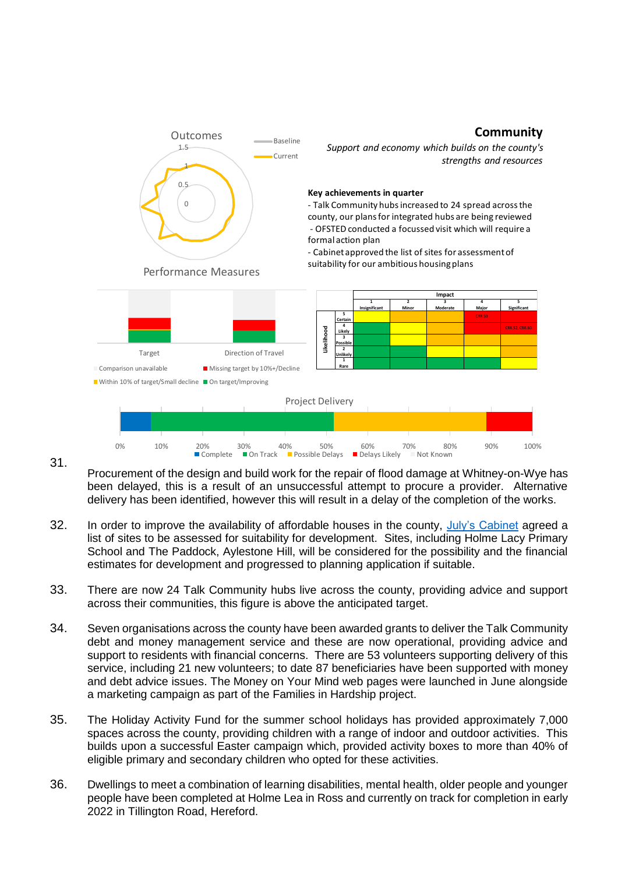#### **Community**



31.

Procurement of the design and build work for the repair of flood damage at Whitney-on-Wye has been delayed, this is a result of an unsuccessful attempt to procure a provider. Alternative delivery has been identified, however this will result in a delay of the completion of the works.

- 32. In order to improve the availability of affordable houses in the county, [July's Cabinet](http://councillors.herefordshire.gov.uk/ieListDocuments.aspx?CId=251&MId=8140&Ver=4) agreed a list of sites to be assessed for suitability for development. Sites, including Holme Lacy Primary School and The Paddock, Aylestone Hill, will be considered for the possibility and the financial estimates for development and progressed to planning application if suitable.
- 33. There are now 24 Talk Community hubs live across the county, providing advice and support across their communities, this figure is above the anticipated target.
- 34. Seven organisations across the county have been awarded grants to deliver the Talk Community debt and money management service and these are now operational, providing advice and support to residents with financial concerns. There are 53 volunteers supporting delivery of this service, including 21 new volunteers; to date 87 beneficiaries have been supported with money and debt advice issues. The Money on Your Mind web pages were launched in June alongside a marketing campaign as part of the Families in Hardship project.
- 35. The Holiday Activity Fund for the summer school holidays has provided approximately 7,000 spaces across the county, providing children with a range of indoor and outdoor activities. This builds upon a successful Easter campaign which, provided activity boxes to more than 40% of eligible primary and secondary children who opted for these activities.
- 36. Dwellings to meet a combination of learning disabilities, mental health, older people and younger people have been completed at Holme Lea in Ross and currently on track for completion in early 2022 in Tillington Road, Hereford.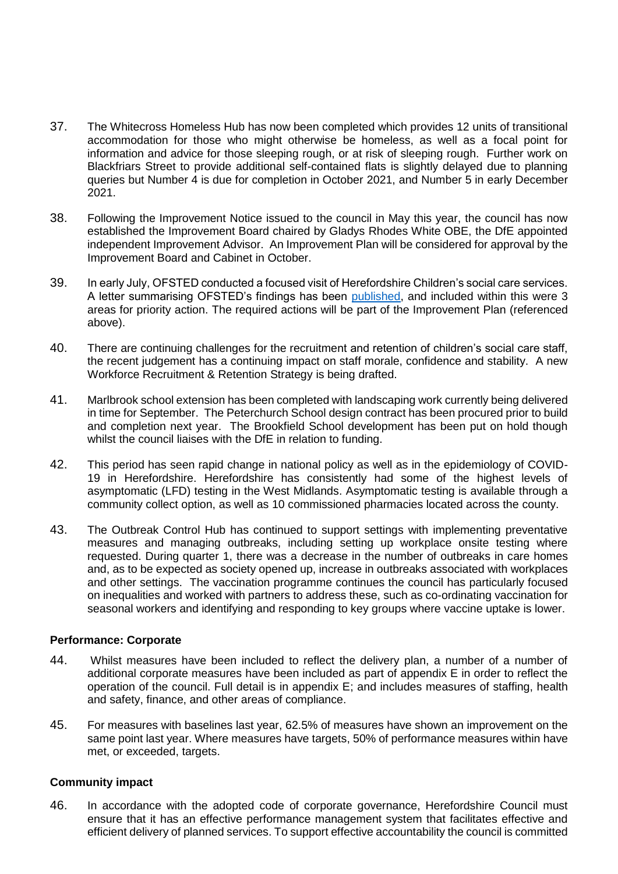- 37. The Whitecross Homeless Hub has now been completed which provides 12 units of transitional accommodation for those who might otherwise be homeless, as well as a focal point for information and advice for those sleeping rough, or at risk of sleeping rough. Further work on Blackfriars Street to provide additional self-contained flats is slightly delayed due to planning queries but Number 4 is due for completion in October 2021, and Number 5 in early December 2021.
- 38. Following the Improvement Notice issued to the council in May this year, the council has now established the Improvement Board chaired by Gladys Rhodes White OBE, the DfE appointed independent Improvement Advisor. An Improvement Plan will be considered for approval by the Improvement Board and Cabinet in October.
- 39. In early July, OFSTED conducted a focused visit of Herefordshire Children's social care services. A letter summarising OFSTED's findings has been [published,](https://files.ofsted.gov.uk/v1/file/50167833) and included within this were 3 areas for priority action. The required actions will be part of the Improvement Plan (referenced above).
- 40. There are continuing challenges for the recruitment and retention of children's social care staff, the recent judgement has a continuing impact on staff morale, confidence and stability. A new Workforce Recruitment & Retention Strategy is being drafted.
- 41. Marlbrook school extension has been completed with landscaping work currently being delivered in time for September. The Peterchurch School design contract has been procured prior to build and completion next year. The Brookfield School development has been put on hold though whilst the council liaises with the DfE in relation to funding.
- 42. This period has seen rapid change in national policy as well as in the epidemiology of COVID-19 in Herefordshire. Herefordshire has consistently had some of the highest levels of asymptomatic (LFD) testing in the West Midlands. Asymptomatic testing is available through a community collect option, as well as 10 commissioned pharmacies located across the county.
- 43. The Outbreak Control Hub has continued to support settings with implementing preventative measures and managing outbreaks, including setting up workplace onsite testing where requested. During quarter 1, there was a decrease in the number of outbreaks in care homes and, as to be expected as society opened up, increase in outbreaks associated with workplaces and other settings. The vaccination programme continues the council has particularly focused on inequalities and worked with partners to address these, such as co-ordinating vaccination for seasonal workers and identifying and responding to key groups where vaccine uptake is lower.

#### **Performance: Corporate**

- 44. Whilst measures have been included to reflect the delivery plan, a number of a number of additional corporate measures have been included as part of appendix E in order to reflect the operation of the council. Full detail is in appendix E; and includes measures of staffing, health and safety, finance, and other areas of compliance.
- 45. For measures with baselines last year, 62.5% of measures have shown an improvement on the same point last year. Where measures have targets, 50% of performance measures within have met, or exceeded, targets.

#### **Community impact**

46. In accordance with the adopted code of corporate governance, Herefordshire Council must ensure that it has an effective performance management system that facilitates effective and efficient delivery of planned services. To support effective accountability the council is committed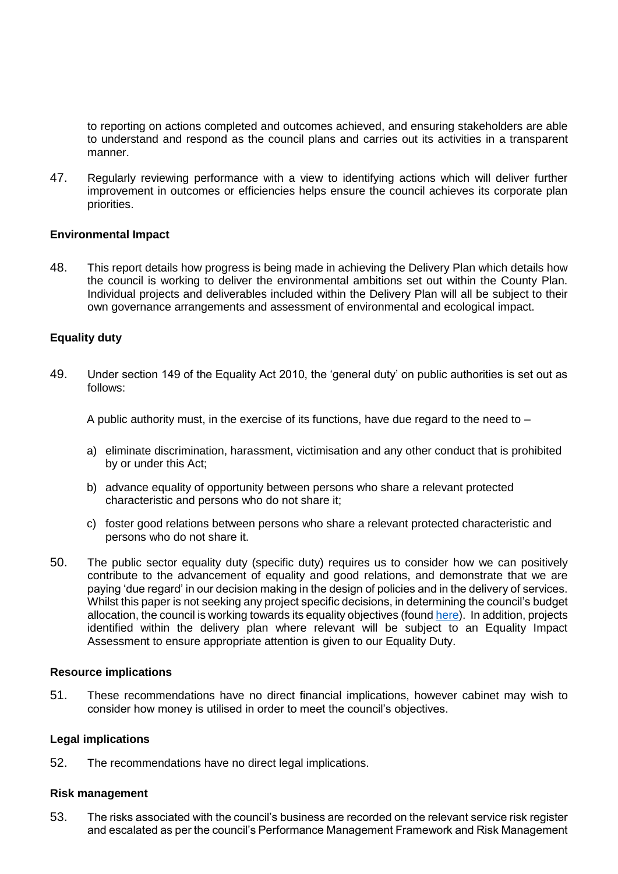to reporting on actions completed and outcomes achieved, and ensuring stakeholders are able to understand and respond as the council plans and carries out its activities in a transparent manner.

47. Regularly reviewing performance with a view to identifying actions which will deliver further improvement in outcomes or efficiencies helps ensure the council achieves its corporate plan priorities.

#### **Environmental Impact**

48. This report details how progress is being made in achieving the Delivery Plan which details how the council is working to deliver the environmental ambitions set out within the County Plan. Individual projects and deliverables included within the Delivery Plan will all be subject to their own governance arrangements and assessment of environmental and ecological impact.

#### **Equality duty**

49. Under section 149 of the Equality Act 2010, the 'general duty' on public authorities is set out as follows:

A public authority must, in the exercise of its functions, have due regard to the need to –

- a) eliminate discrimination, harassment, victimisation and any other conduct that is prohibited by or under this Act;
- b) advance equality of opportunity between persons who share a relevant protected characteristic and persons who do not share it;
- c) foster good relations between persons who share a relevant protected characteristic and persons who do not share it.
- 50. The public sector equality duty (specific duty) requires us to consider how we can positively contribute to the advancement of equality and good relations, and demonstrate that we are paying 'due regard' in our decision making in the design of policies and in the delivery of services. Whilst this paper is not seeking any project specific decisions, in determining the council's budget allocation, the council is working towards its equality objectives (found [here\)](https://www.herefordshire.gov.uk/council/herefordshire-council/6). In addition, projects identified within the delivery plan where relevant will be subject to an Equality Impact Assessment to ensure appropriate attention is given to our Equality Duty.

#### **Resource implications**

51. These recommendations have no direct financial implications, however cabinet may wish to consider how money is utilised in order to meet the council's objectives.

#### **Legal implications**

52. The recommendations have no direct legal implications.

#### **Risk management**

53. The risks associated with the council's business are recorded on the relevant service risk register and escalated as per the council's Performance Management Framework and Risk Management